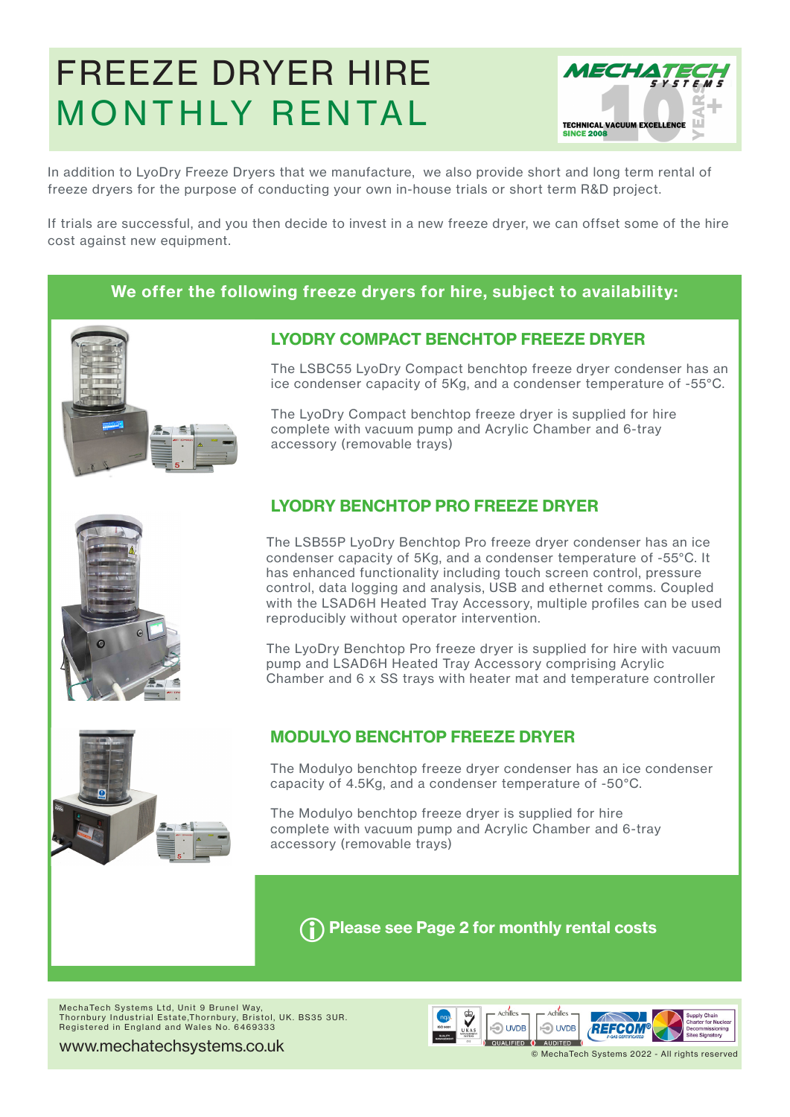# [FREEZE DRYER HIRE](https://www.mechatechsystems.co.uk/freeze-dryer-hire)  MONTHLY RENTAL



In addition to LyoDry Freeze Dryers that we manufacture, we also provide short and long term rental of freeze dryers for the purpose of conducting your own in-house trials or short term R&D project.

If trials are successful, and you then decide to invest in a new freeze dryer, we can offset some of the hire cost against new equipment.

#### **We offer the following freeze dryers for hire, subject to availability:**



#### **LYODRY COMPACT BENCHTOP FREEZE DRYER**

The LSBC55 LyoDry Compact benchtop freeze dryer condenser has an ice condenser capacity of 5Kg, and a condenser temperature of -55°C.

The LyoDry Compact benchtop freeze dryer is supplied for hire complete with vacuum pump and Acrylic Chamber and 6-tray accessory (removable trays)

#### **LYODRY BENCHTOP PRO FREEZE DRYER**

The LSB55P LyoDry Benchtop Pro freeze dryer condenser has an ice condenser capacity of 5Kg, and a condenser temperature of -55°C. It has enhanced functionality including touch screen control, pressure control, data logging and analysis, USB and ethernet comms. Coupled with the LSAD6H Heated Tray Accessory, multiple profiles can be used reproducibly without operator intervention.

The LyoDry Benchtop Pro freeze dryer is supplied for hire with vacuum pump and LSAD6H Heated Tray Accessory comprising Acrylic Chamber and 6 x SS trays with heater mat and temperature controller



#### **MODULYO BENCHTOP FREEZE DRYER**

The Modulyo benchtop freeze dryer condenser has an ice condenser capacity of 4.5Kg, and a condenser temperature of -50°C.

The Modulyo benchtop freeze dryer is supplied for hire complete with vacuum pump and Acrylic Chamber and 6-tray accessory (removable trays)

i**Please see Page 2 for monthly rental costs**

MechaTech Systems Ltd, Unit 9 Brunel Way, Thornbury Industrial Estate,Thornbury, Bristol, UK. BS35 3UR. Registered in England and Wales No. 6469333